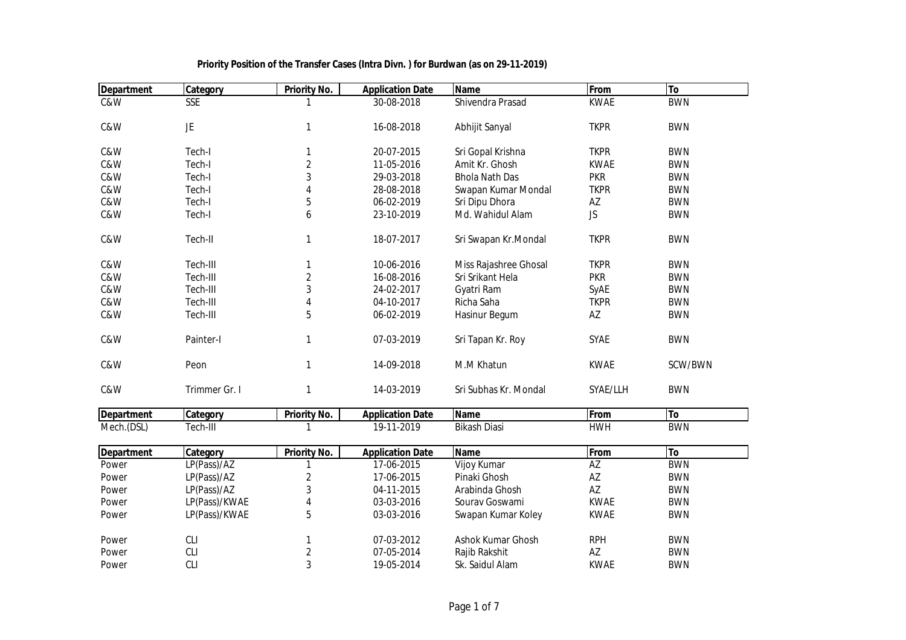| <b>Department</b> | Category      | <b>Priority No.</b>     | <b>Application Date</b> | <b>Name</b>           | From        | To         |
|-------------------|---------------|-------------------------|-------------------------|-----------------------|-------------|------------|
| C&W               | <b>SSE</b>    |                         | 30-08-2018              | Shivendra Prasad      | <b>KWAE</b> | <b>BWN</b> |
|                   |               |                         |                         |                       |             |            |
| C&W               | JE            | $\mathbf{1}$            | 16-08-2018              | Abhijit Sanyal        | <b>TKPR</b> | <b>BWN</b> |
|                   |               |                         |                         |                       |             |            |
| C&W               | Tech-I        | 1                       | 20-07-2015              | Sri Gopal Krishna     | <b>TKPR</b> | <b>BWN</b> |
| C&W               | Tech-I        | $\overline{2}$          | 11-05-2016              | Amit Kr. Ghosh        | <b>KWAE</b> | <b>BWN</b> |
| C&W               | Tech-I        | 3                       | 29-03-2018              | <b>Bhola Nath Das</b> | <b>PKR</b>  | <b>BWN</b> |
| C&W               | Tech-I        | 4                       | 28-08-2018              | Swapan Kumar Mondal   | <b>TKPR</b> | <b>BWN</b> |
| C&W               | Tech-I        | 5                       | 06-02-2019              | Sri Dipu Dhora        | AZ          | <b>BWN</b> |
| C&W               | Tech-I        | 6                       | 23-10-2019              | Md. Wahidul Alam      | <b>JS</b>   | <b>BWN</b> |
| C&W               | Tech-II       | $\mathbf{1}$            | 18-07-2017              | Sri Swapan Kr.Mondal  | <b>TKPR</b> | <b>BWN</b> |
| C&W               | Tech-III      | 1                       | 10-06-2016              | Miss Rajashree Ghosal | <b>TKPR</b> | <b>BWN</b> |
| C&W               | Tech-III      | $\sqrt{2}$              | 16-08-2016              | Sri Srikant Hela      | <b>PKR</b>  | <b>BWN</b> |
| C&W               | Tech-III      | 3                       | 24-02-2017              | Gyatri Ram            | SyAE        | <b>BWN</b> |
| C&W               | Tech-III      | 4                       | 04-10-2017              | Richa Saha            | <b>TKPR</b> | <b>BWN</b> |
| C&W               | Tech-III      | 5                       | 06-02-2019              | Hasinur Begum         | AZ          | <b>BWN</b> |
| C&W               | Painter-I     | $\mathbf{1}$            | 07-03-2019              | Sri Tapan Kr. Roy     | <b>SYAE</b> | <b>BWN</b> |
| C&W               | Peon          | $\mathbf{1}$            | 14-09-2018              | M.M Khatun            | <b>KWAE</b> | SCW/BWN    |
| C&W               | Trimmer Gr. I | $\mathbf{1}$            | 14-03-2019              | Sri Subhas Kr. Mondal | SYAE/LLH    | <b>BWN</b> |
| <b>Department</b> | Category      | <b>Priority No.</b>     | <b>Application Date</b> | <b>Name</b>           | From        | <b>To</b>  |
| Mech.(DSL)        | Tech-III      | 1                       | 19-11-2019              | <b>Bikash Diasi</b>   | <b>HWH</b>  | <b>BWN</b> |
| <b>Department</b> | Category      | <b>Priority No.</b>     | <b>Application Date</b> | <b>Name</b>           | From        | To         |
| Power             | LP(Pass)/AZ   | 1                       | 17-06-2015              | Vijoy Kumar           | AZ          | <b>BWN</b> |
| Power             | LP(Pass)/AZ   | $\overline{c}$          | 17-06-2015              | Pinaki Ghosh          | AZ          | <b>BWN</b> |
| Power             | LP(Pass)/AZ   | $\sqrt{3}$              | 04-11-2015              | Arabinda Ghosh        | AZ          | <b>BWN</b> |
| Power             | LP(Pass)/KWAE | $\overline{\mathbf{4}}$ | 03-03-2016              | Sourav Goswami        | <b>KWAE</b> | <b>BWN</b> |
| Power             | LP(Pass)/KWAE | 5                       | 03-03-2016              | Swapan Kumar Koley    | <b>KWAE</b> | <b>BWN</b> |
| Power             | <b>CLI</b>    | 1                       | 07-03-2012              | Ashok Kumar Ghosh     | <b>RPH</b>  | <b>BWN</b> |
| Power             | <b>CLI</b>    | $\overline{2}$          | 07-05-2014              | Rajib Rakshit         | AZ          | <b>BWN</b> |
| Power             | <b>CLI</b>    | 3                       | 19-05-2014              | Sk. Saidul Alam       | <b>KWAE</b> | <b>BWN</b> |
|                   |               |                         |                         |                       |             |            |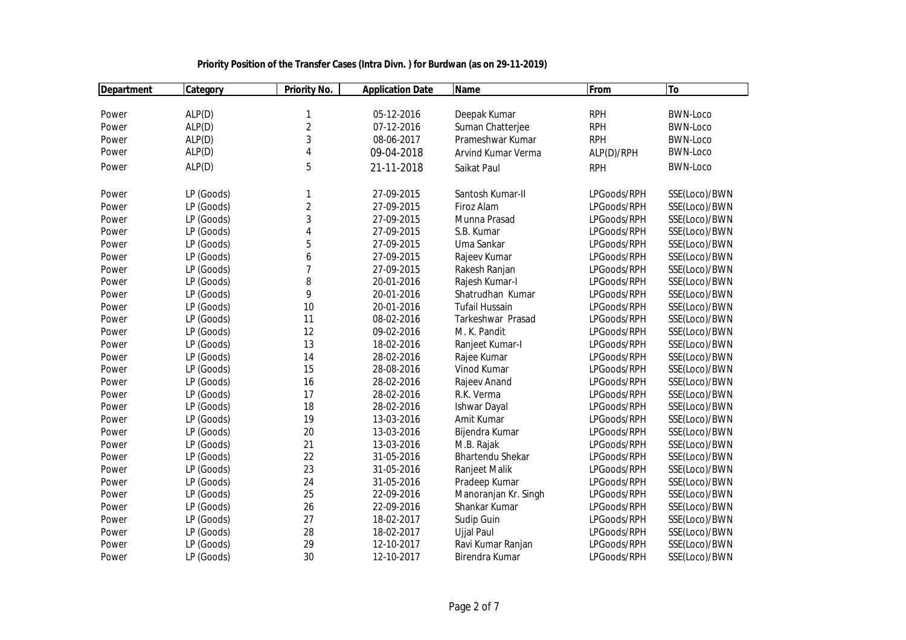| <b>Department</b> | Category   | <b>Priority No.</b> | <b>Application Date</b> | <b>Name</b>             | From        | <b>To</b>       |
|-------------------|------------|---------------------|-------------------------|-------------------------|-------------|-----------------|
|                   |            |                     |                         |                         |             |                 |
| Power             | ALP(D)     | 1                   | 05-12-2016              | Deepak Kumar            | <b>RPH</b>  | <b>BWN-Loco</b> |
| Power             | ALP(D)     | $\overline{2}$      | 07-12-2016              | Suman Chatterjee        | <b>RPH</b>  | <b>BWN-Loco</b> |
| Power             | ALP(D)     | 3                   | 08-06-2017              | Prameshwar Kumar        | <b>RPH</b>  | <b>BWN-Loco</b> |
| Power             | ALP(D)     | 4                   | 09-04-2018              | Arvind Kumar Verma      | ALP(D)/RPH  | <b>BWN-Loco</b> |
| Power             | ALP(D)     | 5                   | 21-11-2018              | Saikat Paul             | <b>RPH</b>  | <b>BWN-Loco</b> |
| Power             | LP (Goods) | 1                   | 27-09-2015              | Santosh Kumar-II        | LPGoods/RPH | SSE(Loco)/BWN   |
| Power             | LP (Goods) | $\overline{2}$      | 27-09-2015              | Firoz Alam              | LPGoods/RPH | SSE(Loco)/BWN   |
| Power             | LP (Goods) | 3                   | 27-09-2015              | Munna Prasad            | LPGoods/RPH | SSE(Loco)/BWN   |
| Power             | LP (Goods) | 4                   | 27-09-2015              | S.B. Kumar              | LPGoods/RPH | SSE(Loco)/BWN   |
| Power             | LP (Goods) | 5                   | 27-09-2015              | Uma Sankar              | LPGoods/RPH | SSE(Loco)/BWN   |
| Power             | LP (Goods) | 6                   | 27-09-2015              | Rajeev Kumar            | LPGoods/RPH | SSE(Loco)/BWN   |
| Power             | LP (Goods) | $\overline{7}$      | 27-09-2015              | Rakesh Ranjan           | LPGoods/RPH | SSE(Loco)/BWN   |
| Power             | LP (Goods) | 8                   | 20-01-2016              | Rajesh Kumar-I          | LPGoods/RPH | SSE(Loco)/BWN   |
| Power             | LP (Goods) | 9                   | 20-01-2016              | Shatrudhan Kumar        | LPGoods/RPH | SSE(Loco)/BWN   |
| Power             | LP (Goods) | 10                  | 20-01-2016              | <b>Tufail Hussain</b>   | LPGoods/RPH | SSE(Loco)/BWN   |
| Power             | LP (Goods) | 11                  | 08-02-2016              | Tarkeshwar Prasad       | LPGoods/RPH | SSE(Loco)/BWN   |
| Power             | LP (Goods) | 12                  | 09-02-2016              | M. K. Pandit            | LPGoods/RPH | SSE(Loco)/BWN   |
| Power             | LP (Goods) | 13                  | 18-02-2016              | Ranjeet Kumar-I         | LPGoods/RPH | SSE(Loco)/BWN   |
| Power             | LP (Goods) | 14                  | 28-02-2016              | Rajee Kumar             | LPGoods/RPH | SSE(Loco)/BWN   |
| Power             | LP (Goods) | 15                  | 28-08-2016              | Vinod Kumar             | LPGoods/RPH | SSE(Loco)/BWN   |
| Power             | LP (Goods) | 16                  | 28-02-2016              | Rajeev Anand            | LPGoods/RPH | SSE(Loco)/BWN   |
| Power             | LP (Goods) | 17                  | 28-02-2016              | R.K. Verma              | LPGoods/RPH | SSE(Loco)/BWN   |
| Power             | LP (Goods) | 18                  | 28-02-2016              | <b>Ishwar Dayal</b>     | LPGoods/RPH | SSE(Loco)/BWN   |
| Power             | LP (Goods) | 19                  | 13-03-2016              | Amit Kumar              | LPGoods/RPH | SSE(Loco)/BWN   |
| Power             | LP (Goods) | 20                  | 13-03-2016              | Bijendra Kumar          | LPGoods/RPH | SSE(Loco)/BWN   |
| Power             | LP (Goods) | 21                  | 13-03-2016              | M.B. Rajak              | LPGoods/RPH | SSE(Loco)/BWN   |
| Power             | LP (Goods) | 22                  | 31-05-2016              | <b>Bhartendu Shekar</b> | LPGoods/RPH | SSE(Loco)/BWN   |
| Power             | LP (Goods) | 23                  | 31-05-2016              | Ranjeet Malik           | LPGoods/RPH | SSE(Loco)/BWN   |
| Power             | LP (Goods) | 24                  | 31-05-2016              | Pradeep Kumar           | LPGoods/RPH | SSE(Loco)/BWN   |
| Power             | LP (Goods) | 25                  | 22-09-2016              | Manoranjan Kr. Singh    | LPGoods/RPH | SSE(Loco)/BWN   |
| Power             | LP (Goods) | 26                  | 22-09-2016              | Shankar Kumar           | LPGoods/RPH | SSE(Loco)/BWN   |
| Power             | LP (Goods) | 27                  | 18-02-2017              | Sudip Guin              | LPGoods/RPH | SSE(Loco)/BWN   |
| Power             | LP (Goods) | 28                  | 18-02-2017              | <b>Ujjal Paul</b>       | LPGoods/RPH | SSE(Loco)/BWN   |
| Power             | LP (Goods) | 29                  | 12-10-2017              | Ravi Kumar Ranjan       | LPGoods/RPH | SSE(Loco)/BWN   |
| Power             | LP (Goods) | 30                  | 12-10-2017              | Birendra Kumar          | LPGoods/RPH | SSE(Loco)/BWN   |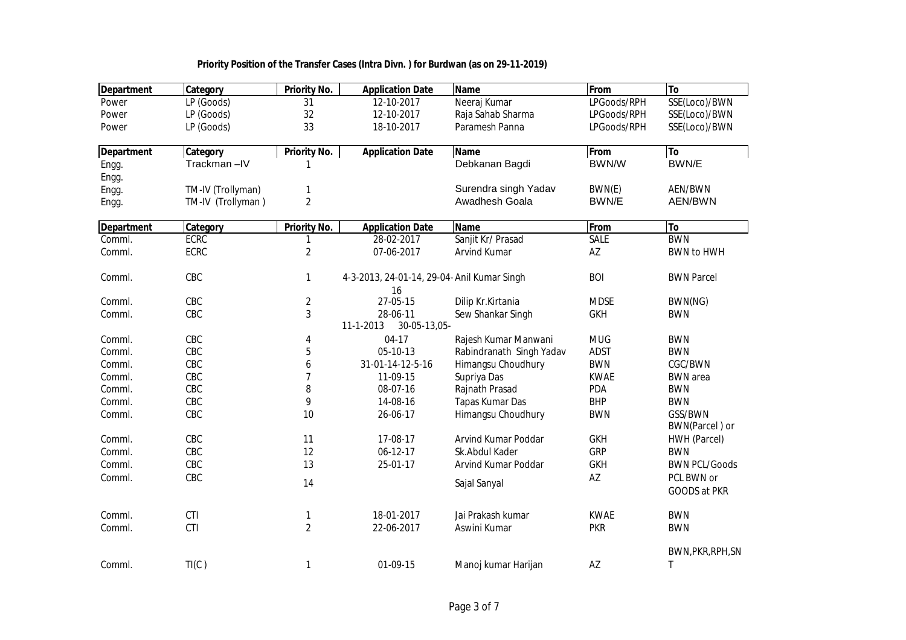| <b>Department</b> | Category          | <b>Priority No.</b> | <b>Application Date</b>                     | <b>Name</b>                           | From              | To                         |
|-------------------|-------------------|---------------------|---------------------------------------------|---------------------------------------|-------------------|----------------------------|
| Power             | LP (Goods)        | 31                  | 12-10-2017                                  | Neeraj Kumar                          | LPGoods/RPH       | SSE(Loco)/BWN              |
| Power             | LP (Goods)        | 32                  | 12-10-2017                                  | Raja Sahab Sharma                     | LPGoods/RPH       | SSE(Loco)/BWN              |
| Power             | LP (Goods)        | 33                  | 18-10-2017                                  | Paramesh Panna                        | LPGoods/RPH       | SSE(Loco)/BWN              |
| <b>Department</b> | Category          | <b>Priority No.</b> | <b>Application Date</b>                     | <b>Name</b>                           | From              | <b>To</b>                  |
| Engg.             | Trackman-IV       | 1                   |                                             | Debkanan Bagdi                        | BWN/W             | BWN/E                      |
| Engg.             |                   |                     |                                             |                                       |                   |                            |
| Engg.             | TM-IV (Trollyman) | $\mathbf{1}$        |                                             | Surendra singh Yadav                  | BWN(E)            | AEN/BWN                    |
| Engg.             | TM-IV (Trollyman) | $\overline{2}$      |                                             | Awadhesh Goala                        | BWN/E             | <b>AEN/BWN</b>             |
| <b>Department</b> | Category          | <b>Priority No.</b> | <b>Application Date</b>                     | <b>Name</b>                           | From              | To                         |
| Comml.            | <b>ECRC</b>       | 1                   | 28-02-2017                                  | Sanjit Kr/ Prasad                     | <b>SALE</b>       | <b>BWN</b>                 |
| Comml.            | <b>ECRC</b>       | $\sqrt{2}$          | 07-06-2017                                  | Arvind Kumar                          | AZ                | <b>BWN to HWH</b>          |
| Comml.            | CBC               | $\mathbf{1}$        | 4-3-2013, 24-01-14, 29-04- Anil Kumar Singh |                                       | <b>BOI</b>        | <b>BWN Parcel</b>          |
|                   |                   |                     | 16                                          |                                       |                   |                            |
| Comml.            | CBC               | $\overline{2}$      | 27-05-15                                    | Dilip Kr.Kirtania                     | <b>MDSE</b>       | BWN(NG)                    |
| Comml.            | CBC               | $\sqrt{3}$          | 28-06-11<br>11-1-2013<br>30-05-13,05-       | Sew Shankar Singh                     | <b>GKH</b>        | <b>BWN</b>                 |
| Comml.            | CBC               | 4                   | $04-17$                                     | Rajesh Kumar Manwani                  | <b>MUG</b>        | <b>BWN</b>                 |
| Comml.            | CBC               | 5                   | 05-10-13                                    | Rabindranath Singh Yadav              | <b>ADST</b>       | <b>BWN</b>                 |
| Comml.            | CBC               | 6                   | 31-01-14-12-5-16                            | Himangsu Choudhury                    | <b>BWN</b>        | CGC/BWN                    |
| Comml.            | CBC               | $\boldsymbol{7}$    | 11-09-15                                    | Supriya Das                           | <b>KWAE</b>       | <b>BWN</b> area            |
| Comml.            | CBC               | 8                   | 08-07-16                                    | Rajnath Prasad                        | <b>PDA</b>        | <b>BWN</b>                 |
| Comml.            | CBC               | 9                   | 14-08-16                                    | Tapas Kumar Das                       | <b>BHP</b>        | <b>BWN</b>                 |
| Comml.            | CBC               | 10                  | 26-06-17                                    | Himangsu Choudhury                    | <b>BWN</b>        | GSS/BWN                    |
|                   |                   |                     |                                             |                                       |                   | BWN(Parcel) or             |
| Comml.<br>Comml.  | CBC<br>CBC        | 11<br>12            | 17-08-17<br>$06-12-17$                      | Arvind Kumar Poddar<br>Sk.Abdul Kader | <b>GKH</b><br>GRP | HWH (Parcel)<br><b>BWN</b> |
| Comml.            | CBC               | 13                  | 25-01-17                                    | Arvind Kumar Poddar                   | <b>GKH</b>        | <b>BWN PCL/Goods</b>       |
|                   |                   |                     |                                             |                                       |                   | PCL BWN or                 |
| Comml.            | CBC               | 14                  |                                             | Sajal Sanyal                          | AZ                | GOODS at PKR               |
| Comml.            | CTI               | 1                   | 18-01-2017                                  | Jai Prakash kumar                     | <b>KWAE</b>       | <b>BWN</b>                 |
| Comml.            | CTI               | $\overline{2}$      | 22-06-2017                                  | Aswini Kumar                          | <b>PKR</b>        | <b>BWN</b>                 |
|                   |                   |                     |                                             |                                       |                   | BWN, PKR, RPH, SN          |
| Comml.            | TI(C)             | $\mathbf{1}$        | 01-09-15                                    | Manoj kumar Harijan                   | AZ                | Τ                          |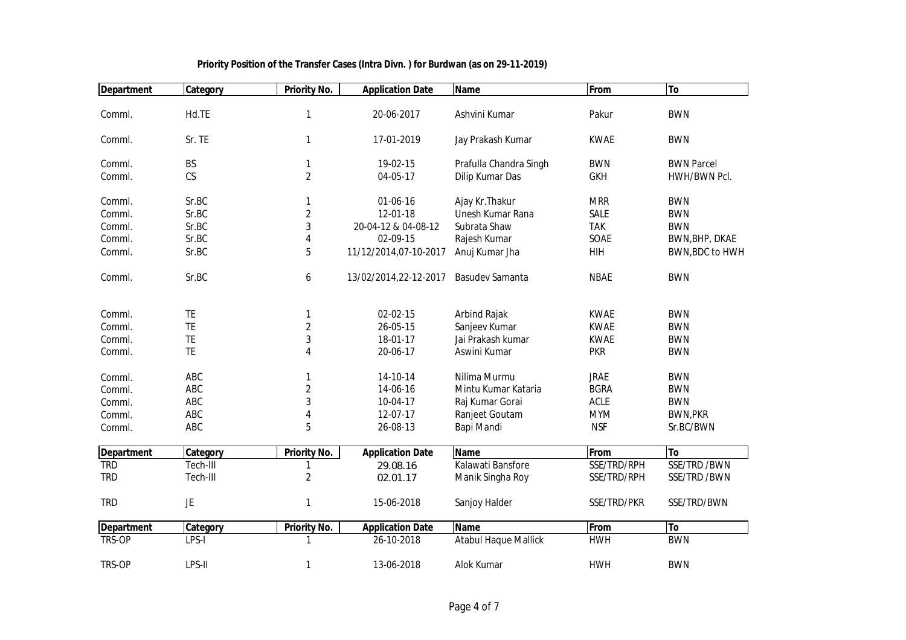| <b>Department</b> | Category  | <b>Priority No.</b> | <b>Application Date</b> | Name                        | From        | To                |
|-------------------|-----------|---------------------|-------------------------|-----------------------------|-------------|-------------------|
| Comml.            | Hd.TE     | $\mathbf{1}$        | 20-06-2017              | Ashvini Kumar               | Pakur       | <b>BWN</b>        |
|                   |           |                     |                         |                             |             |                   |
| Comml.            | Sr. TE    | 1                   | 17-01-2019              | Jay Prakash Kumar           | <b>KWAE</b> | <b>BWN</b>        |
| Comml.            | BS        | $\mathbf{1}$        | 19-02-15                | Prafulla Chandra Singh      | <b>BWN</b>  | <b>BWN Parcel</b> |
| Comml.            | CS        | $\overline{2}$      | 04-05-17                | Dilip Kumar Das             | <b>GKH</b>  | HWH/BWN Pcl.      |
| Comml.            | Sr.BC     | 1                   | 01-06-16                | Ajay Kr. Thakur             | <b>MRR</b>  | <b>BWN</b>        |
| Comml.            | Sr.BC     | $\overline{2}$      | 12-01-18                | Unesh Kumar Rana            | SALE        | <b>BWN</b>        |
| Comml.            | Sr.BC     | $\sqrt{3}$          | 20-04-12 & 04-08-12     | Subrata Shaw                | <b>TAK</b>  | <b>BWN</b>        |
| Comml.            | Sr.BC     | 4                   | 02-09-15                | Rajesh Kumar                | SOAE        | BWN, BHP, DKAE    |
| Comml.            | Sr.BC     | 5                   | 11/12/2014,07-10-2017   | Anuj Kumar Jha              | HIH         | BWN, BDC to HWH   |
| Comml.            | Sr.BC     | 6                   | 13/02/2014,22-12-2017   | Basudev Samanta             | <b>NBAE</b> | <b>BWN</b>        |
| Comml.            | TE        | 1                   | 02-02-15                | Arbind Rajak                | <b>KWAE</b> | <b>BWN</b>        |
| Comml.            | TE        | $\sqrt{2}$          | 26-05-15                | Sanjeev Kumar               | <b>KWAE</b> | <b>BWN</b>        |
| Comml.            | TE        | $\sqrt{3}$          | 18-01-17                | Jai Prakash kumar           | <b>KWAE</b> | <b>BWN</b>        |
| Comml.            | TE        | 4                   | 20-06-17                | Aswini Kumar                | <b>PKR</b>  | <b>BWN</b>        |
|                   |           |                     |                         |                             |             |                   |
| Comml.            | ABC       | 1                   | 14-10-14                | Nilima Murmu                | <b>JRAE</b> | <b>BWN</b>        |
| Comml.            | ABC       | $\sqrt{2}$          | 14-06-16                | Mintu Kumar Kataria         | <b>BGRA</b> | <b>BWN</b>        |
| Comml.            | ABC       | $\sqrt{3}$          | 10-04-17                | Raj Kumar Gorai             | <b>ACLE</b> | <b>BWN</b>        |
| Comml.            | ABC       | 4                   | 12-07-17                | Ranjeet Goutam              | <b>MYM</b>  | <b>BWN, PKR</b>   |
| Comml.            | ABC       | 5                   | 26-08-13                | Bapi Mandi                  | <b>NSF</b>  | Sr.BC/BWN         |
| <b>Department</b> | Category  | <b>Priority No.</b> | <b>Application Date</b> | <b>Name</b>                 | From        | To                |
| <b>TRD</b>        | Tech-III  | 1                   | 29.08.16                | Kalawati Bansfore           | SSE/TRD/RPH | SSE/TRD /BWN      |
| <b>TRD</b>        | Tech-III  | $\overline{2}$      | 02.01.17                | Manik Singha Roy            | SSE/TRD/RPH | SSE/TRD /BWN      |
| <b>TRD</b>        | <b>JE</b> | $\mathbf{1}$        | 15-06-2018              | Sanjoy Halder               | SSE/TRD/PKR | SSE/TRD/BWN       |
| <b>Department</b> | Category  | Priority No.        | <b>Application Date</b> | <b>Name</b>                 | From        | <b>To</b>         |
| TRS-OP            | LPS-I     | 1                   | 26-10-2018              | <b>Atabul Haque Mallick</b> | <b>HWH</b>  | <b>BWN</b>        |
| TRS-OP            | LPS-II    | $\mathbf{1}$        | 13-06-2018              | Alok Kumar                  | <b>HWH</b>  | <b>BWN</b>        |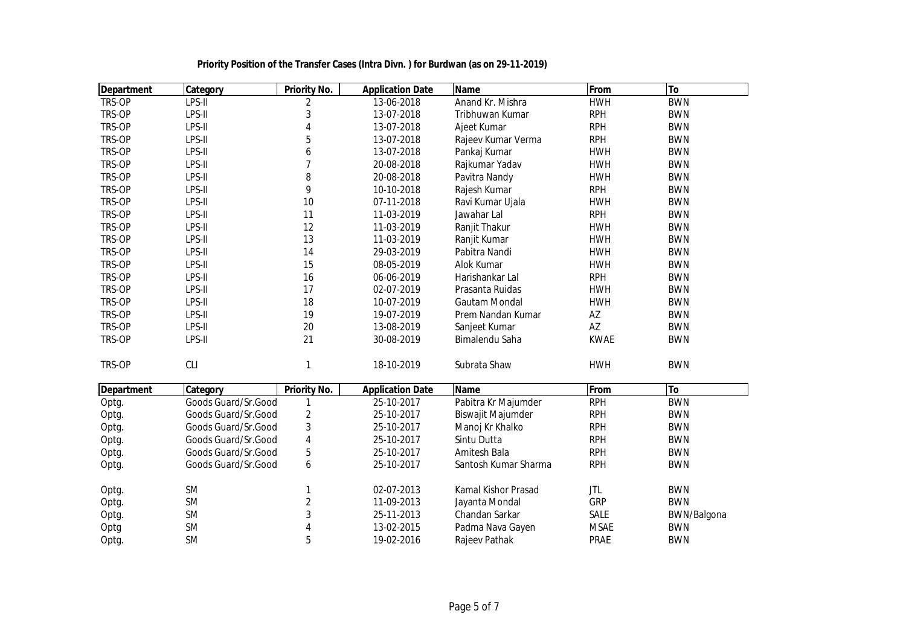| Department | Category            | Priority No.            | <b>Application Date</b> | <b>Name</b>          | From        | To          |
|------------|---------------------|-------------------------|-------------------------|----------------------|-------------|-------------|
| TRS-OP     | LPS-II              | 2                       | 13-06-2018              | Anand Kr. Mishra     | <b>HWH</b>  | <b>BWN</b>  |
| TRS-OP     | LPS-II              | 3                       | 13-07-2018              | Tribhuwan Kumar      | <b>RPH</b>  | <b>BWN</b>  |
| TRS-OP     | LPS-II              | 4                       | 13-07-2018              | Ajeet Kumar          | <b>RPH</b>  | <b>BWN</b>  |
| TRS-OP     | LPS-II              | 5                       | 13-07-2018              | Rajeev Kumar Verma   | <b>RPH</b>  | <b>BWN</b>  |
| TRS-OP     | LPS-II              | 6                       | 13-07-2018              | Pankaj Kumar         | <b>HWH</b>  | <b>BWN</b>  |
| TRS-OP     | LPS-II              | 7                       | 20-08-2018              | Rajkumar Yadav       | <b>HWH</b>  | <b>BWN</b>  |
| TRS-OP     | LPS-II              | 8                       | 20-08-2018              | Pavitra Nandy        | <b>HWH</b>  | <b>BWN</b>  |
| TRS-OP     | LPS-II              | 9                       | 10-10-2018              | Rajesh Kumar         | <b>RPH</b>  | <b>BWN</b>  |
| TRS-OP     | LPS-II              | 10                      | 07-11-2018              | Ravi Kumar Ujala     | <b>HWH</b>  | <b>BWN</b>  |
| TRS-OP     | LPS-II              | 11                      | 11-03-2019              | Jawahar Lal          | <b>RPH</b>  | <b>BWN</b>  |
| TRS-OP     | LPS-II              | 12                      | 11-03-2019              | Ranjit Thakur        | <b>HWH</b>  | <b>BWN</b>  |
| TRS-OP     | LPS-II              | 13                      | 11-03-2019              | Ranjit Kumar         | <b>HWH</b>  | <b>BWN</b>  |
| TRS-OP     | LPS-II              | 14                      | 29-03-2019              | Pabitra Nandi        | <b>HWH</b>  | <b>BWN</b>  |
| TRS-OP     | LPS-II              | 15                      | 08-05-2019              | Alok Kumar           | <b>HWH</b>  | <b>BWN</b>  |
| TRS-OP     | LPS-II              | 16                      | 06-06-2019              | Harishankar Lal      | <b>RPH</b>  | <b>BWN</b>  |
| TRS-OP     | LPS-II              | 17                      | 02-07-2019              | Prasanta Ruidas      | <b>HWH</b>  | <b>BWN</b>  |
| TRS-OP     | LPS-II              | 18                      | 10-07-2019              | Gautam Mondal        | <b>HWH</b>  | <b>BWN</b>  |
| TRS-OP     | LPS-II              | 19                      | 19-07-2019              | Prem Nandan Kumar    | AZ          | <b>BWN</b>  |
| TRS-OP     | LPS-II              | 20                      | 13-08-2019              | Sanjeet Kumar        | AZ          | <b>BWN</b>  |
| TRS-OP     | LPS-II              | 21                      | 30-08-2019              | Bimalendu Saha       | <b>KWAE</b> | <b>BWN</b>  |
| TRS-OP     | <b>CLI</b>          | 1                       | 18-10-2019              | Subrata Shaw         | <b>HWH</b>  | <b>BWN</b>  |
| Department | Category            | <b>Priority No.</b>     | <b>Application Date</b> | <b>Name</b>          | From        | To          |
| Optg.      | Goods Guard/Sr.Good | 1                       | 25-10-2017              | Pabitra Kr Majumder  | <b>RPH</b>  | <b>BWN</b>  |
| Optg.      | Goods Guard/Sr.Good | $\overline{\mathbf{c}}$ | 25-10-2017              | Biswajit Majumder    | <b>RPH</b>  | <b>BWN</b>  |
| Optg.      | Goods Guard/Sr.Good | 3                       | 25-10-2017              | Manoj Kr Khalko      | <b>RPH</b>  | <b>BWN</b>  |
| Optg.      | Goods Guard/Sr.Good | 4                       | 25-10-2017              | Sintu Dutta          | <b>RPH</b>  | <b>BWN</b>  |
| Optg.      | Goods Guard/Sr.Good | 5                       | 25-10-2017              | Amitesh Bala         | <b>RPH</b>  | <b>BWN</b>  |
| Optg.      | Goods Guard/Sr.Good | 6                       | 25-10-2017              | Santosh Kumar Sharma | <b>RPH</b>  | <b>BWN</b>  |
| Optg.      | <b>SM</b>           | 1                       | 02-07-2013              | Kamal Kishor Prasad  | <b>JTL</b>  | <b>BWN</b>  |
| Optg.      | <b>SM</b>           | $\overline{\mathbf{c}}$ | 11-09-2013              | Jayanta Mondal       | GRP         | <b>BWN</b>  |
| Optg.      | <b>SM</b>           | 3                       | 25-11-2013              | Chandan Sarkar       | <b>SALE</b> | BWN/Balgona |
| Optg       | <b>SM</b>           | 4                       | 13-02-2015              | Padma Nava Gayen     | <b>MSAE</b> | <b>BWN</b>  |
| Optg.      | <b>SM</b>           | 5                       | 19-02-2016              | Rajeev Pathak        | <b>PRAE</b> | <b>BWN</b>  |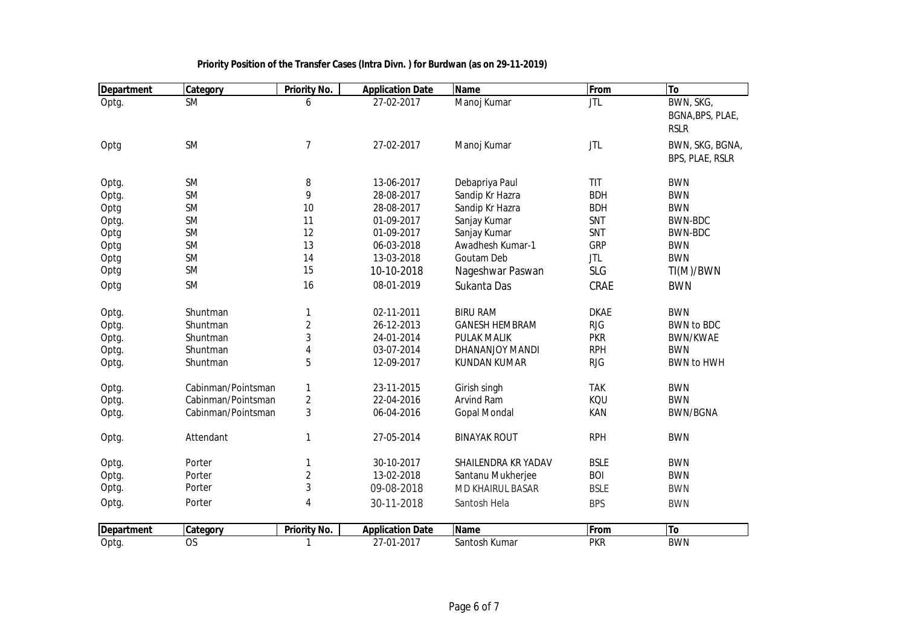| <b>Department</b> | Category           | <b>Priority No.</b> | <b>Application Date</b> | <b>Name</b>             | From        | To                |
|-------------------|--------------------|---------------------|-------------------------|-------------------------|-------------|-------------------|
| Optg.             | <b>SM</b>          | 6                   | 27-02-2017              | Manoj Kumar             | <b>JTL</b>  | BWN, SKG,         |
|                   |                    |                     |                         |                         |             | BGNA, BPS, PLAE,  |
|                   |                    |                     |                         |                         |             | <b>RSLR</b>       |
| Optg              | <b>SM</b>          | $\boldsymbol{7}$    | 27-02-2017              | Manoj Kumar             | <b>JTL</b>  | BWN, SKG, BGNA,   |
|                   |                    |                     |                         |                         |             | BPS, PLAE, RSLR   |
|                   |                    |                     |                         |                         |             |                   |
| Optg.             | <b>SM</b>          | 8                   | 13-06-2017              | Debapriya Paul          | TIT         | <b>BWN</b>        |
| Optg.             | <b>SM</b>          | 9                   | 28-08-2017              | Sandip Kr Hazra         | <b>BDH</b>  | <b>BWN</b>        |
| Optg              | <b>SM</b>          | 10                  | 28-08-2017              | Sandip Kr Hazra         | <b>BDH</b>  | <b>BWN</b>        |
| Optg.             | <b>SM</b>          | 11                  | 01-09-2017              | Sanjay Kumar            | SNT         | BWN-BDC           |
| Optg              | <b>SM</b>          | 12                  | 01-09-2017              | Sanjay Kumar            | SNT         | BWN-BDC           |
| Optg              | <b>SM</b>          | 13                  | 06-03-2018              | Awadhesh Kumar-1        | <b>GRP</b>  | <b>BWN</b>        |
| Optg              | <b>SM</b>          | 14                  | 13-03-2018              | Goutam Deb              | <b>JTL</b>  | <b>BWN</b>        |
| Optg              | <b>SM</b>          | 15                  | 10-10-2018              | Nageshwar Paswan        | <b>SLG</b>  | TI(M)/BWN         |
| Optg              | <b>SM</b>          | 16                  | 08-01-2019              | Sukanta Das             | CRAE        | <b>BWN</b>        |
|                   |                    |                     |                         |                         |             |                   |
| Optg.             | Shuntman           | 1                   | 02-11-2011              | <b>BIRU RAM</b>         | <b>DKAE</b> | <b>BWN</b>        |
| Optg.             | Shuntman           | $\overline{2}$      | 26-12-2013              | <b>GANESH HEMBRAM</b>   | <b>RJG</b>  | <b>BWN to BDC</b> |
| Optg.             | Shuntman           | 3                   | 24-01-2014              | <b>PULAK MALIK</b>      | <b>PKR</b>  | <b>BWN/KWAE</b>   |
| Optg.             | Shuntman           | 4                   | 03-07-2014              | DHANANJOY MANDI         | <b>RPH</b>  | <b>BWN</b>        |
| Optg.             | Shuntman           | 5                   | 12-09-2017              | <b>KUNDAN KUMAR</b>     | <b>RJG</b>  | <b>BWN to HWH</b> |
|                   |                    |                     |                         |                         |             |                   |
| Optg.             | Cabinman/Pointsman | $\mathbf{1}$        | 23-11-2015              | Girish singh            | <b>TAK</b>  | <b>BWN</b>        |
| Optg.             | Cabinman/Pointsman | $\overline{c}$      | 22-04-2016              | Arvind Ram              | KQU         | <b>BWN</b>        |
| Optg.             | Cabinman/Pointsman | 3                   | 06-04-2016              | <b>Gopal Mondal</b>     | KAN         | <b>BWN/BGNA</b>   |
| Optg.             | Attendant          | 1                   | 27-05-2014              | <b>BINAYAK ROUT</b>     | <b>RPH</b>  | <b>BWN</b>        |
|                   |                    |                     |                         |                         |             |                   |
| Optg.             | Porter             | 1                   | 30-10-2017              | SHAILENDRA KR YADAV     | <b>BSLE</b> | <b>BWN</b>        |
| Optg.             | Porter             | $\overline{2}$      | 13-02-2018              | Santanu Mukherjee       | <b>BOI</b>  | <b>BWN</b>        |
| Optg.             | Porter             | 3                   | 09-08-2018              | <b>MD KHAIRUL BASAR</b> | <b>BSLE</b> | <b>BWN</b>        |
| Optg.             | Porter             | 4                   | 30-11-2018              | Santosh Hela            | <b>BPS</b>  | <b>BWN</b>        |
|                   |                    |                     |                         |                         |             |                   |
| <b>Department</b> | Category           | <b>Priority No.</b> | <b>Application Date</b> | <b>Name</b>             | From        | To                |
| Optg.             | <b>OS</b>          | 1                   | 27-01-2017              | Santosh Kumar           | <b>PKR</b>  | <b>BWN</b>        |